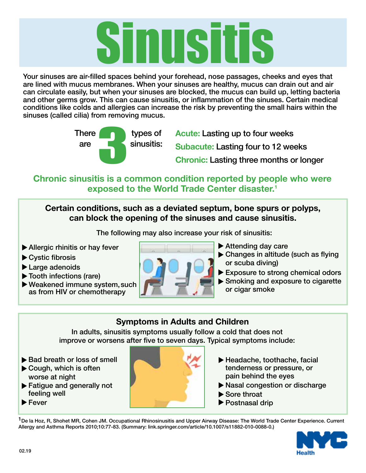# Sinusitis

Your sinuses are air-filled spaces behind your forehead, nose passages, cheeks and eyes that are lined with mucus membranes. When your sinuses are healthy, mucus can drain out and air can circulate easily, but when your sinuses are blocked, the mucus can build up, letting bacteria and other germs grow. This can cause sinusitis, or inflammation of the sinuses. Certain medical conditions like colds and allergies can increase the risk by preventing the small hairs within the sinuses (called cilia) from removing mucus.



**Acute:** Lasting up to four weeks **Subacute:** Lasting four to 12 weeks **Chronic:** Lasting three months or longer

**Chronic sinusitis is a common condition reported by people who were exposed to the World Trade Center disaster.1**

**Certain conditions, such as a deviated septum, bone spurs or polyps, can block the opening of the sinuses and cause sinusitis.** 

The following may also increase your risk of sinusitis:

- $\blacktriangleright$  Allergic rhinitis or hay fever
	- ▶ Cystic fibrosis
	- Large adenoids t
	- Tooth infections (rare) t
	- Weakened immune system, such t as from HIV or chemotherapy



- $\blacktriangleright$  Attending day care
- $\blacktriangleright$  Changes in altitude (such as flying or scuba diving)
	- Exposure to strong chemical odors
	- Smoking and exposure to cigarette or cigar smoke

# **Symptoms in Adults and Children**

In adults, sinusitis symptoms usually follow a cold that does not improve or worsens after five to seven days. Typical symptoms include:

- $\blacktriangleright$  Bad breath or loss of smell
	- Cough, which is often worse at night
	- **Fatigue and generally not** feeling well
	- ▶ Fever



- ▶ Headache, toothache, facial tenderness or pressure, or pain behind the eyes
- ▶ Nasal congestion or discharge
	- Sore throat
	- ▶ Postnasal drip

<sup>1</sup>De la Hoz, R, Shohet MR, Cohen JM. Occupational Rhinosinusitis and Upper Airway Disease: The World Trade Center Experience. Current Allergy and Asthma Reports 2010;10:77-83. (Summary: link.springer.com/article/10.1007/s11882-010-0088-0.)